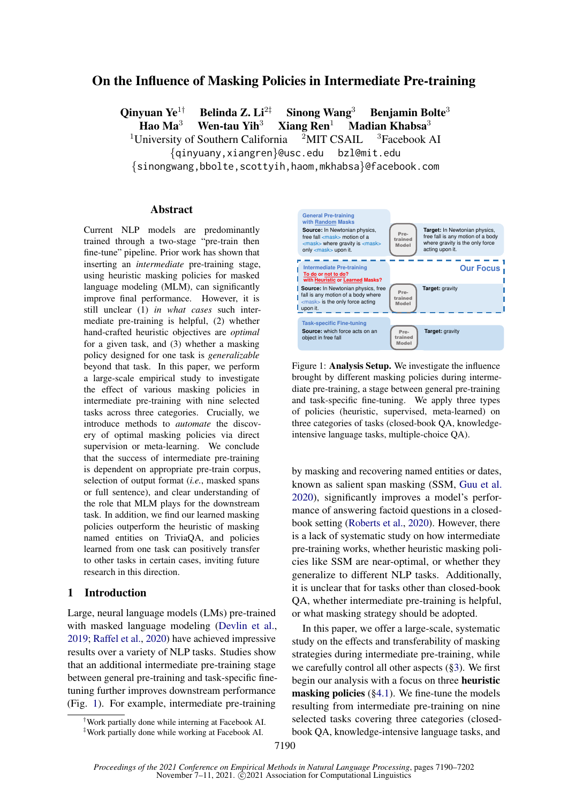# On the Influence of Masking Policies in Intermediate Pre-training

Qinyuan Ye<sup>1†</sup> Belinda Z. Li<sup>2‡</sup> Sinong Wang<sup>3</sup> Benjamin Bolte<sup>3</sup>

Hao Ma<sup>3</sup> Wen-tau Yih<sup>3</sup> Xiang Ren<sup>1</sup> Madian Khabsa<sup>3</sup>

<sup>1</sup>University of Southern California  $2$ MIT CSAIL  $3$ Facebook AI

{qinyuany,xiangren}@usc.edu bzl@mit.edu

{sinongwang,bbolte,scottyih,haom,mkhabsa}@facebook.com

#### Abstract

Current NLP models are predominantly trained through a two-stage "pre-train then fine-tune" pipeline. Prior work has shown that inserting an *intermediate* pre-training stage, using heuristic masking policies for masked language modeling (MLM), can significantly improve final performance. However, it is still unclear (1) *in what cases* such intermediate pre-training is helpful, (2) whether hand-crafted heuristic objectives are *optimal* for a given task, and (3) whether a masking policy designed for one task is *generalizable* beyond that task. In this paper, we perform a large-scale empirical study to investigate the effect of various masking policies in intermediate pre-training with nine selected tasks across three categories. Crucially, we introduce methods to *automate* the discovery of optimal masking policies via direct supervision or meta-learning. We conclude that the success of intermediate pre-training is dependent on appropriate pre-train corpus, selection of output format (*i.e.*, masked spans or full sentence), and clear understanding of the role that MLM plays for the downstream task. In addition, we find our learned masking policies outperform the heuristic of masking named entities on TriviaQA, and policies learned from one task can positively transfer to other tasks in certain cases, inviting future research in this direction.

### 1 Introduction

Large, neural language models (LMs) pre-trained with masked language modeling [\(Devlin et al.,](#page-8-0) [2019;](#page-8-0) [Raffel et al.,](#page-10-0) [2020\)](#page-10-0) have achieved impressive results over a variety of NLP tasks[.](#page-0-0) Studies show that an additional intermediate pre-training stage between general pre-training and task-specific finetuning further improves downstream performance (Fig. [1\)](#page-0-1)[.](#page-0-2) For example, intermediate pre-training

<span id="page-0-0"></span>

<span id="page-0-2"></span><sup>‡</sup>Work partially done while working at Facebook AI.

<span id="page-0-1"></span>

Figure 1: Analysis Setup. We investigate the influence brought by different masking policies during intermediate pre-training, a stage between general pre-training and task-specific fine-tuning. We apply three types of policies (heuristic, supervised, meta-learned) on three categories of tasks (closed-book QA, knowledgeintensive language tasks, multiple-choice QA).

by masking and recovering named entities or dates, known as salient span masking (SSM, [Guu et al.](#page-9-0) [2020\)](#page-9-0), significantly improves a model's performance of answering factoid questions in a closedbook setting [\(Roberts et al.,](#page-10-1) [2020\)](#page-10-1). However, there is a lack of systematic study on how intermediate pre-training works, whether heuristic masking policies like SSM are near-optimal, or whether they generalize to different NLP tasks. Additionally, it is unclear that for tasks other than closed-book QA, whether intermediate pre-training is helpful, or what masking strategy should be adopted.

In this paper, we offer a large-scale, systematic study on the effects and transferability of masking strategies during intermediate pre-training, while we carefully control all other aspects ([§3\)](#page-1-0). We first begin our analysis with a focus on three heuristic masking policies  $(\S 4.1)$ . We fine-tune the models resulting from intermediate pre-training on nine selected tasks covering three categories (closedbook QA, knowledge-intensive language tasks, and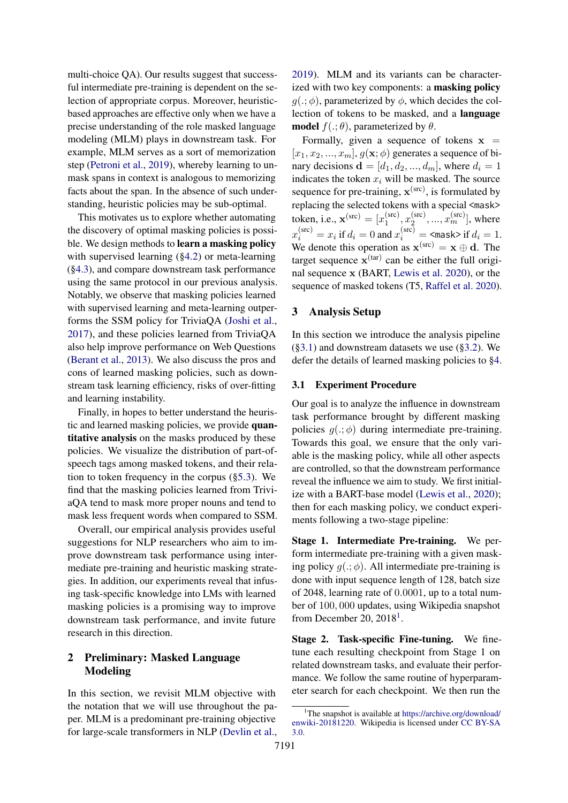multi-choice QA). Our results suggest that successful intermediate pre-training is dependent on the selection of appropriate corpus. Moreover, heuristicbased approaches are effective only when we have a precise understanding of the role masked language modeling (MLM) plays in downstream task. For example, MLM serves as a sort of memorization step [\(Petroni et al.,](#page-10-2) [2019\)](#page-10-2), whereby learning to unmask spans in context is analogous to memorizing facts about the span. In the absence of such understanding, heuristic policies may be sub-optimal.

This motivates us to explore whether automating the discovery of optimal masking policies is possible. We design methods to learn a masking policy with supervised learning ([§4.2\)](#page-2-1) or meta-learning ([§4.3\)](#page-3-0), and compare downstream task performance using the same protocol in our previous analysis. Notably, we observe that masking policies learned with supervised learning and meta-learning outperforms the SSM policy for TriviaQA [\(Joshi et al.,](#page-9-1) [2017\)](#page-9-1), and these policies learned from TriviaQA also help improve performance on Web Questions [\(Berant et al.,](#page-8-1) [2013\)](#page-8-1). We also discuss the pros and cons of learned masking policies, such as downstream task learning efficiency, risks of over-fitting and learning instability.

Finally, in hopes to better understand the heuristic and learned masking policies, we provide quantitative analysis on the masks produced by these policies. We visualize the distribution of part-ofspeech tags among masked tokens, and their relation to token frequency in the corpus ([§5.3\)](#page-6-0). We find that the masking policies learned from TriviaQA tend to mask more proper nouns and tend to mask less frequent words when compared to SSM.

Overall, our empirical analysis provides useful suggestions for NLP researchers who aim to improve downstream task performance using intermediate pre-training and heuristic masking strategies. In addition, our experiments reveal that infusing task-specific knowledge into LMs with learned masking policies is a promising way to improve downstream task performance, and invite future research in this direction.

# 2 Preliminary: Masked Language Modeling

In this section, we revisit MLM objective with the notation that we will use throughout the paper. MLM is a predominant pre-training objective for large-scale transformers in NLP [\(Devlin et al.,](#page-8-0)

[2019\)](#page-8-0). MLM and its variants can be characterized with two key components: a masking policy  $q(.; \phi)$ , parameterized by  $\phi$ , which decides the collection of tokens to be masked, and a language **model**  $f(.;\theta)$ , parameterized by  $\theta$ .

Formally, given a sequence of tokens  $x =$  $[x_1, x_2, ..., x_m], g(\mathbf{x}; \phi)$  generates a sequence of binary decisions  $\mathbf{d} = [d_1, d_2, ..., d_m]$ , where  $d_i = 1$ indicates the token  $x_i$  will be masked. The source sequence for pre-training,  $\mathbf{x}^{(\text{src})}$ , is formulated by replacing the selected tokens with a special <mask> token, i.e.,  $\mathbf{x}^{(\text{src})} = [x_1^{(\text{src})}]$  $x_1^{\text{(src)}}, x_2^{\text{(src)}}$  $x_2^{\text{(src)}},...,x_m^{\text{(src)}}$ ], where  $x_i^{\text{(src)}}=x_i$  if  $d_i=0$  and  $x_i^{\text{(src)}}=\,$   $\leq$  mask> if  $d_i=1.$ We denote this operation as  $\mathbf{x}^{(\text{src})} = \mathbf{x} \oplus \mathbf{d}$ . The target sequence  $\mathbf{x}^{(tar)}$  can be either the full original sequence x (BART, [Lewis et al. 2020\)](#page-9-2), or the sequence of masked tokens (T5, [Raffel et al. 2020\)](#page-10-0).

## <span id="page-1-0"></span>3 Analysis Setup

In this section we introduce the analysis pipeline  $(\S 3.1)$  and downstream datasets we use  $(\S 3.2)$ . We defer the details of learned masking policies to [§4.](#page-2-3)

#### <span id="page-1-1"></span>3.1 Experiment Procedure

Our goal is to analyze the influence in downstream task performance brought by different masking policies  $g(.; \phi)$  during intermediate pre-training. Towards this goal, we ensure that the only variable is the masking policy, while all other aspects are controlled, so that the downstream performance reveal the influence we aim to study. We first initialize with a BART-base model [\(Lewis et al.,](#page-9-2) [2020\)](#page-9-2); then for each masking policy, we conduct experiments following a two-stage pipeline:

Stage 1. Intermediate Pre-training. We perform intermediate pre-training with a given masking policy  $q(.; \phi)$ . All intermediate pre-training is done with input sequence length of 128, batch size of 2048, learning rate of 0.0001, up to a total number of 100, 000 updates, using Wikipedia snapshot from December 20,  $2018<sup>1</sup>$  $2018<sup>1</sup>$  $2018<sup>1</sup>$ .

Stage 2. Task-specific Fine-tuning. We finetune each resulting checkpoint from Stage 1 on related downstream tasks, and evaluate their performance. We follow the same routine of hyperparameter search for each checkpoint. We then run the

<span id="page-1-2"></span><sup>&</sup>lt;sup>1</sup>The snapshot is available at [https://archive.org/download/](https://archive.org/download/enwiki-20181220) [enwiki-20181220.](https://archive.org/download/enwiki-20181220) Wikipedia is licensed under [CC BY-SA](https://creativecommons.org/licenses/by-sa/3.0/) [3.0.](https://creativecommons.org/licenses/by-sa/3.0/)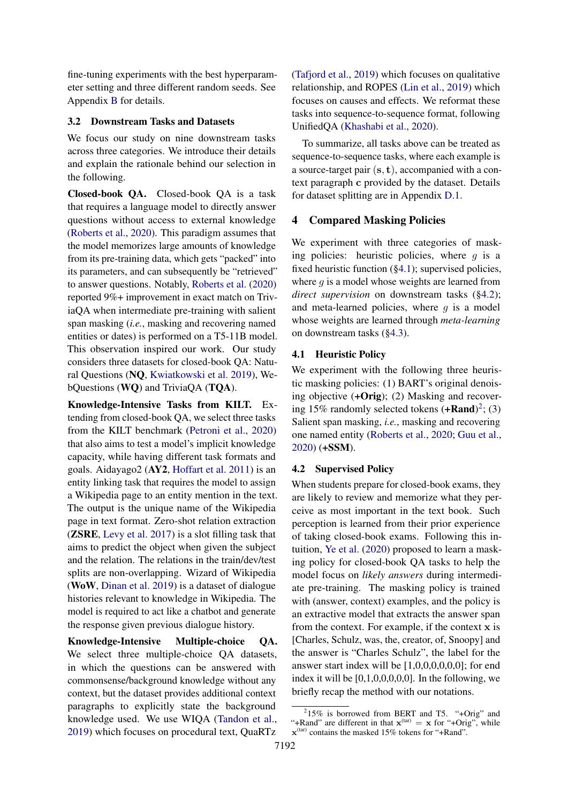fine-tuning experiments with the best hyperparameter setting and three different random seeds. See Appendix [B](#page-11-0) for details.

## <span id="page-2-2"></span>3.2 Downstream Tasks and Datasets

We focus our study on nine downstream tasks across three categories. We introduce their details and explain the rationale behind our selection in the following.

Closed-book QA. Closed-book QA is a task that requires a language model to directly answer questions without access to external knowledge [\(Roberts et al.,](#page-10-1) [2020\)](#page-10-1). This paradigm assumes that the model memorizes large amounts of knowledge from its pre-training data, which gets "packed" into its parameters, and can subsequently be "retrieved" to answer questions. Notably, [Roberts et al.](#page-10-1) [\(2020\)](#page-10-1) reported 9%+ improvement in exact match on TriviaQA when intermediate pre-training with salient span masking (*i.e.*, masking and recovering named entities or dates) is performed on a T5-11B model. This observation inspired our work. Our study considers three datasets for closed-book QA: Natural Questions (NQ, [Kwiatkowski et al. 2019\)](#page-9-3), WebQuestions (WQ) and TriviaQA (TQA).

Knowledge-Intensive Tasks from KILT. Extending from closed-book QA, we select three tasks from the KILT benchmark [\(Petroni et al.,](#page-10-3) [2020\)](#page-10-3) that also aims to test a model's implicit knowledge capacity, while having different task formats and goals. Aidayago2 (AY2, [Hoffart et al. 2011\)](#page-9-4) is an entity linking task that requires the model to assign a Wikipedia page to an entity mention in the text. The output is the unique name of the Wikipedia page in text format. Zero-shot relation extraction (ZSRE, [Levy et al. 2017\)](#page-9-5) is a slot filling task that aims to predict the object when given the subject and the relation. The relations in the train/dev/test splits are non-overlapping. Wizard of Wikipedia (WoW, [Dinan et al. 2019\)](#page-8-2) is a dataset of dialogue histories relevant to knowledge in Wikipedia. The model is required to act like a chatbot and generate the response given previous dialogue history.

Knowledge-Intensive Multiple-choice QA. We select three multiple-choice QA datasets, in which the questions can be answered with commonsense/background knowledge without any context, but the dataset provides additional context paragraphs to explicitly state the background knowledge used. We use WIQA [\(Tandon et al.,](#page-10-4) [2019\)](#page-10-4) which focuses on procedural text, QuaRTz

[\(Tafjord et al.,](#page-10-5) [2019\)](#page-10-5) which focuses on qualitative relationship, and ROPES [\(Lin et al.,](#page-9-6) [2019\)](#page-9-6) which focuses on causes and effects. We reformat these tasks into sequence-to-sequence format, following UnifiedQA [\(Khashabi et al.,](#page-9-7) [2020\)](#page-9-7).

To summarize, all tasks above can be treated as sequence-to-sequence tasks, where each example is a source-target pair  $(s, t)$ , accompanied with a context paragraph c provided by the dataset. Details for dataset splitting are in Appendix [D.1.](#page-11-1)

# <span id="page-2-3"></span>4 Compared Masking Policies

We experiment with three categories of masking policies: heuristic policies, where  $q$  is a fixed heuristic function ([§4.1\)](#page-2-0); supervised policies, where  $g$  is a model whose weights are learned from *direct supervision* on downstream tasks ([§4.2\)](#page-2-1); and meta-learned policies, where  $g$  is a model whose weights are learned through *meta-learning* on downstream tasks ([§4.3\)](#page-3-0).

## <span id="page-2-0"></span>4.1 Heuristic Policy

We experiment with the following three heuristic masking policies: (1) BART's original denoising objective (+Orig); (2) Masking and recovering 15% randomly selected tokens  $(+Rand)^2$  $(+Rand)^2$ ; (3) Salient span masking, *i.e.*, masking and recovering one named entity [\(Roberts et al.,](#page-10-1) [2020;](#page-10-1) [Guu et al.,](#page-9-0) [2020\)](#page-9-0) (+SSM).

## <span id="page-2-1"></span>4.2 Supervised Policy

When students prepare for closed-book exams, they are likely to review and memorize what they perceive as most important in the text book. Such perception is learned from their prior experience of taking closed-book exams. Following this intuition, [Ye et al.](#page-10-6) [\(2020\)](#page-10-6) proposed to learn a masking policy for closed-book QA tasks to help the model focus on *likely answers* during intermediate pre-training. The masking policy is trained with (answer, context) examples, and the policy is an extractive model that extracts the answer span from the context. For example, if the context x is [Charles, Schulz, was, the, creator, of, Snoopy] and the answer is "Charles Schulz", the label for the answer start index will be [1,0,0,0,0,0,0]; for end index it will be  $[0,1,0,0,0,0,0]$ . In the following, we briefly recap the method with our notations.

<span id="page-2-4"></span><sup>2</sup> 15% is borrowed from BERT and T5. "+Orig" and "+Rand" are different in that  $\mathbf{x}^{(tar)} = \mathbf{x}$  for "+Orig", while  $\mathbf{x}^{(\text{tar})}$  contains the masked 15% tokens for "+Rand".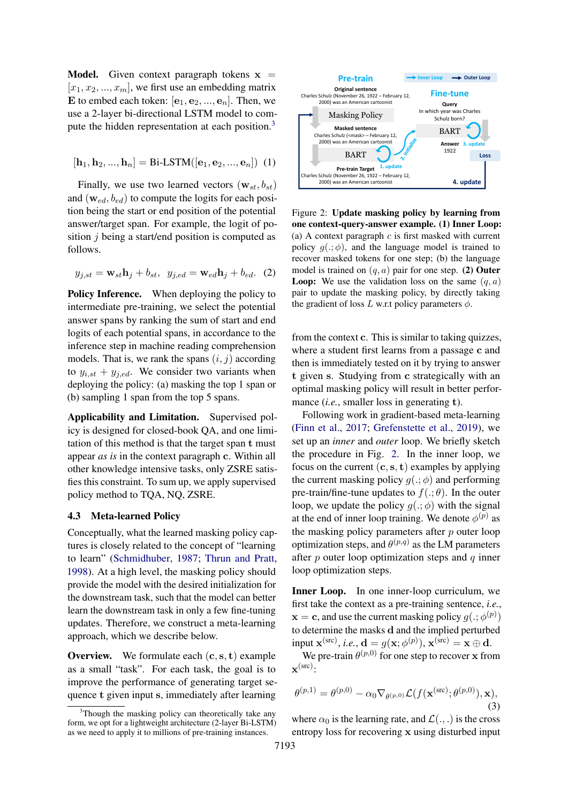**Model.** Given context paragraph tokens  $x =$  $[x_1, x_2, ..., x_m]$ , we first use an embedding matrix E to embed each token:  $[e_1, e_2, ..., e_n]$ . Then, we use a 2-layer bi-directional LSTM model to com-pute the hidden representation at each position.<sup>[3](#page-3-1)</sup>

$$
[\mathbf{h}_1, \mathbf{h}_2, ..., \mathbf{h}_n] = \text{Bi-LSTM}([\mathbf{e}_1, \mathbf{e}_2, ..., \mathbf{e}_n]) \tag{1}
$$

Finally, we use two learned vectors  $(\mathbf{w}_{st}, b_{st})$ and  $(\mathbf{w}_{ed}, b_{ed})$  to compute the logits for each position being the start or end position of the potential answer/target span. For example, the logit of position  $j$  being a start/end position is computed as follows.

$$
y_{j,st} = \mathbf{w}_{st}\mathbf{h}_j + b_{st}, \ \ y_{j,ed} = \mathbf{w}_{ed}\mathbf{h}_j + b_{ed}. \ \ (2)
$$

Policy Inference. When deploying the policy to intermediate pre-training, we select the potential answer spans by ranking the sum of start and end logits of each potential spans, in accordance to the inference step in machine reading comprehension models. That is, we rank the spans  $(i, j)$  according to  $y_{i,st} + y_{j,ed}$ . We consider two variants when deploying the policy: (a) masking the top 1 span or (b) sampling 1 span from the top 5 spans.

Applicability and Limitation. Supervised policy is designed for closed-book QA, and one limitation of this method is that the target span t must appear *as is* in the context paragraph c. Within all other knowledge intensive tasks, only ZSRE satisfies this constraint. To sum up, we apply supervised policy method to TQA, NQ, ZSRE.

### <span id="page-3-0"></span>4.3 Meta-learned Policy

Conceptually, what the learned masking policy captures is closely related to the concept of "learning to learn" [\(Schmidhuber,](#page-10-7) [1987;](#page-10-7) [Thrun and Pratt,](#page-10-8) [1998\)](#page-10-8). At a high level, the masking policy should provide the model with the desired initialization for the downstream task, such that the model can better learn the downstream task in only a few fine-tuning updates. Therefore, we construct a meta-learning approach, which we describe below.

**Overview.** We formulate each  $(c, s, t)$  example as a small "task". For each task, the goal is to improve the performance of generating target sequence t given input s, immediately after learning

<span id="page-3-2"></span>

Figure 2: Update masking policy by learning from one context-query-answer example. (1) Inner Loop: (a) A context paragraph  $c$  is first masked with current policy  $g(.; \phi)$ , and the language model is trained to recover masked tokens for one step; (b) the language model is trained on  $(a, a)$  pair for one step. (2) Outer **Loop:** We use the validation loss on the same  $(q, a)$ pair to update the masking policy, by directly taking the gradient of loss L w.r.t policy parameters  $\phi$ .

from the context c. This is similar to taking quizzes, where a student first learns from a passage c and then is immediately tested on it by trying to answer t given s. Studying from c strategically with an optimal masking policy will result in better performance (*i.e.*, smaller loss in generating **t**).

Following work in gradient-based meta-learning [\(Finn et al.,](#page-8-3) [2017;](#page-8-3) [Grefenstette et al.,](#page-9-8) [2019\)](#page-9-8), we set up an *inner* and *outer* loop. We briefly sketch the procedure in Fig. [2.](#page-3-2) In the inner loop, we focus on the current  $(c, s, t)$  examples by applying the current masking policy  $g(.; \phi)$  and performing pre-train/fine-tune updates to  $f(.;\theta)$ . In the outer loop, we update the policy  $g(.; \phi)$  with the signal at the end of inner loop training. We denote  $\phi^{(p)}$  as the masking policy parameters after  $p$  outer loop optimization steps, and  $\theta^{(p,q)}$  as the LM parameters after  $p$  outer loop optimization steps and  $q$  inner loop optimization steps.

Inner Loop. In one inner-loop curriculum, we first take the context as a pre-training sentence, *i.e.*,  $\mathbf{x} = \mathbf{c}$ , and use the current masking policy  $g(.; \phi^{(p)})$ to determine the masks d and the implied perturbed input  $\mathbf{x}^{(\text{src})}$ , *i.e.*,  $\mathbf{d} = g(\mathbf{x}; \phi^{(p)})$ ,  $\mathbf{x}^{(\text{src})} = \mathbf{x} \oplus \mathbf{d}$ .

<span id="page-3-3"></span>We pre-train  $\theta^{(p,0)}$  for one step to recover x from  $\mathbf{x}^{\text{(src)}}$ :

$$
\theta^{(p,1)} = \theta^{(p,0)} - \alpha_0 \nabla_{\theta^{(p,0)}} \mathcal{L}(f(\mathbf{x}^{(\text{src})}; \theta^{(p,0)}), \mathbf{x}),
$$
\n(3)

where  $\alpha_0$  is the learning rate, and  $\mathcal{L}(\cdot, \cdot)$  is the cross entropy loss for recovering x using disturbed input

<span id="page-3-1"></span><sup>&</sup>lt;sup>3</sup>Though the masking policy can theoretically take any form, we opt for a lightweight architecture (2-layer Bi-LSTM) as we need to apply it to millions of pre-training instances.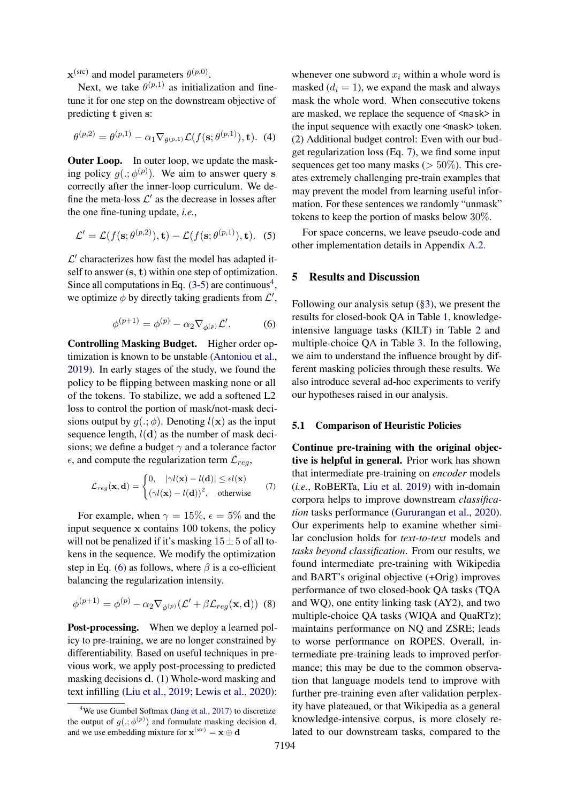$\mathbf{x}^{(\text{src})}$  and model parameters  $\theta^{(p,0)}$ .

Next, we take  $\theta^{(p,1)}$  as initialization and finetune it for one step on the downstream objective of predicting t given s:

$$
\theta^{(p,2)} = \theta^{(p,1)} - \alpha_1 \nabla_{\theta^{(p,1)}} \mathcal{L}(f(\mathbf{s}; \theta^{(p,1)}), \mathbf{t}). \tag{4}
$$

**Outer Loop.** In outer loop, we update the masking policy  $g(.; \phi^{(p)})$ . We aim to answer query s correctly after the inner-loop curriculum. We define the meta-loss  $\mathcal{L}'$  as the decrease in losses after the one fine-tuning update, *i.e.*,

$$
\mathcal{L}' = \mathcal{L}(f(\mathbf{s}; \theta^{(p,2)}), \mathbf{t}) - \mathcal{L}(f(\mathbf{s}; \theta^{(p,1)}), \mathbf{t}).
$$
 (5)

 $\mathcal{L}'$  characterizes how fast the model has adapted itself to answer  $(s, t)$  within one step of optimization. Since all computations in Eq.  $(3-5)$  $(3-5)$  are continuous<sup>[4](#page-4-1)</sup>, we optimize  $\phi$  by directly taking gradients from  $\mathcal{L}'$ ,

$$
\phi^{(p+1)} = \phi^{(p)} - \alpha_2 \nabla_{\phi^{(p)}} \mathcal{L}'.
$$
 (6)

<span id="page-4-2"></span>Controlling Masking Budget. Higher order optimization is known to be unstable [\(Antoniou et al.,](#page-8-4) [2019\)](#page-8-4). In early stages of the study, we found the policy to be flipping between masking none or all of the tokens. To stabilize, we add a softened L2 loss to control the portion of mask/not-mask decisions output by  $g(.; \phi)$ . Denoting  $l(\mathbf{x})$  as the input sequence length,  $l(\mathbf{d})$  as the number of mask decisions; we define a budget  $\gamma$  and a tolerance factor  $\epsilon$ , and compute the regularization term  $\mathcal{L}_{req}$ ,

$$
\mathcal{L}_{reg}(\mathbf{x}, \mathbf{d}) = \begin{cases} 0, & |\gamma l(\mathbf{x}) - l(\mathbf{d})| \le \epsilon l(\mathbf{x}) \\ (\gamma l(\mathbf{x}) - l(\mathbf{d}))^2, & \text{otherwise} \end{cases}
$$
(7)

For example, when  $\gamma = 15\%$ ,  $\epsilon = 5\%$  and the input sequence x contains 100 tokens, the policy will not be penalized if it's masking  $15 \pm 5$  of all tokens in the sequence. We modify the optimization step in Eq. [\(6\)](#page-4-2) as follows, where  $\beta$  is a co-efficient balancing the regularization intensity.

$$
\phi^{(p+1)} = \phi^{(p)} - \alpha_2 \nabla_{\phi^{(p)}} (\mathcal{L}' + \beta \mathcal{L}_{reg}(\mathbf{x}, \mathbf{d})) \tag{8}
$$

Post-processing. When we deploy a learned policy to pre-training, we are no longer constrained by differentiability. Based on useful techniques in previous work, we apply post-processing to predicted masking decisions d. (1) Whole-word masking and text infilling [\(Liu et al.,](#page-9-9) [2019;](#page-9-9) [Lewis et al.,](#page-9-2) [2020\)](#page-9-2): whenever one subword  $x_i$  within a whole word is masked  $(d_i = 1)$ , we expand the mask and always mask the whole word. When consecutive tokens are masked, we replace the sequence of <mask> in the input sequence with exactly one <mask> token. (2) Additional budget control: Even with our budget regularization loss (Eq. [7\)](#page-4-3), we find some input sequences get too many masks ( $> 50\%$ ). This creates extremely challenging pre-train examples that may prevent the model from learning useful information. For these sentences we randomly "unmask" tokens to keep the portion of masks below 30%.

<span id="page-4-0"></span>For space concerns, we leave pseudo-code and other implementation details in Appendix [A.2.](#page-11-2)

## 5 Results and Discussion

Following our analysis setup ([§3\)](#page-1-0), we present the results for closed-book QA in Table [1,](#page-5-0) knowledgeintensive language tasks (KILT) in Table [2](#page-5-1) and multiple-choice QA in Table [3.](#page-5-2) In the following, we aim to understand the influence brought by different masking policies through these results. We also introduce several ad-hoc experiments to verify our hypotheses raised in our analysis.

## 5.1 Comparison of Heuristic Policies

<span id="page-4-3"></span>Continue pre-training with the original objective is helpful in general. Prior work has shown that intermediate pre-training on *encoder* models (*i.e.*, RoBERTa, [Liu et al. 2019\)](#page-9-9) with in-domain corpora helps to improve downstream *classification* tasks performance [\(Gururangan et al.,](#page-9-11) [2020\)](#page-9-11). Our experiments help to examine whether similar conclusion holds for *text-to-text* models and *tasks beyond classification*. From our results, we found intermediate pre-training with Wikipedia and BART's original objective (+Orig) improves performance of two closed-book QA tasks (TQA and WQ), one entity linking task (AY2), and two multiple-choice QA tasks (WIQA and QuaRTz); maintains performance on NQ and ZSRE; leads to worse performance on ROPES. Overall, intermediate pre-training leads to improved performance; this may be due to the common observation that language models tend to improve with further pre-training even after validation perplexity have plateaued, or that Wikipedia as a general knowledge-intensive corpus, is more closely related to our downstream tasks, compared to the

<span id="page-4-1"></span><sup>4</sup>We use Gumbel Softmax [\(Jang et al.,](#page-9-10) [2017\)](#page-9-10) to discretize the output of  $g(.;\phi^{(p)})$  and formulate masking decision **d**, and we use embedding mixture for  $\mathbf{x}^{(\text{src})} = \mathbf{x} \oplus \mathbf{d}$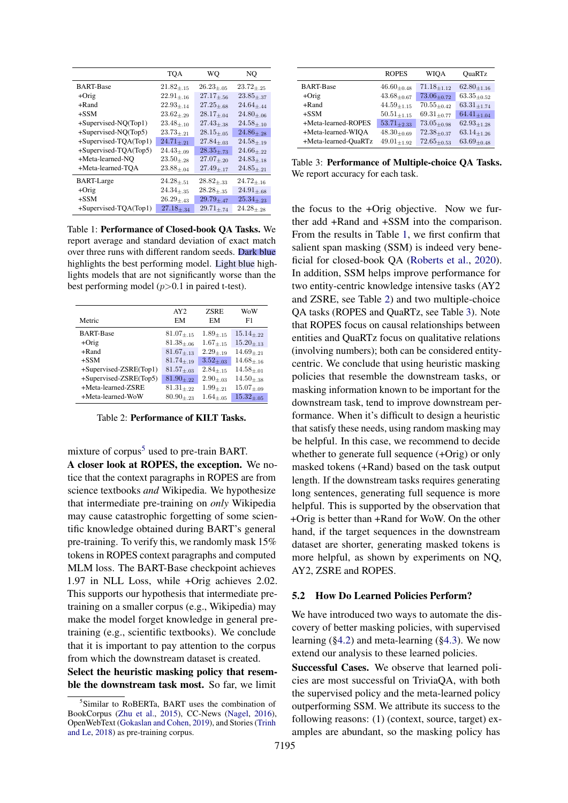<span id="page-5-0"></span>

|                          | <b>TQA</b>        | WO                | NQ                          |
|--------------------------|-------------------|-------------------|-----------------------------|
| <b>BART-Base</b>         | $21.82_{\pm .15}$ | $26.23_{+.05}$    | $23.72_{+.25}$              |
| $+Orig$                  | $22.91_{\pm.16}$  | $27.17_{\pm.56}$  | $23.85_{\pm.37}$            |
| $+$ Rand                 | $22.93{+}.14$     | $27.25_{+.68}$    | $24.64_{\pm.44}$            |
| $+SSM$                   | $23.62_{+29}$     | $28.17_{+.04}$    | $24.80_{+.06}$              |
| +Supervised-NQ(Top1)     | $23.48_{\pm.10}$  | $27.43_{\pm,38}$  | $24.58_{\pm.10}$            |
| +Supervised-NQ(Top5)     | $23.73_{+.21}$    | $28.15 + .05$     | $24.86_{\pm.28}$            |
| $+$ Supervised-TQA(Top1) | $24.71_{+21}$     | $27.84_{+.03}$    | $24.58_{+.19}$              |
| +Supervised-TQA(Top5)    | $24.43_{\pm.09}$  | $28.35_{\pm .73}$ | $24.66{\scriptstyle\pm.22}$ |
| +Meta-learned-NO         | $23.50_{+.28}$    | $27.07_{+20}$     | $24.83_{\pm.18}$            |
| +Meta-learned-TQA        | $23.88_{\pm.04}$  | $27.49_{+17}$     | $24.85 + 21$                |
| <b>BART-Large</b>        | $24.28 + 51$      | $28.82_{+33}$     | $24.72_{+.16}$              |
| $+Orig$                  | $24.34_{\pm.35}$  | $28.28 + 35$      | $24.91_{\pm.68}$            |
| $+SSM$                   | $26.29_{+.43}$    | $29.79_{+.47}$    | $25.34_{\pm,23}$            |
| $+$ Supervised-TQA(Top1) | $27.18 + 34$      | $29.71 + 74$      | $24.28 + 28$                |

Table 1: Performance of Closed-book QA Tasks. We report average and standard deviation of exact match over three runs with different random seeds. Dark blue highlights the best performing model. Light blue highlights models that are not significantly worse than the best performing model  $(p>0.1$  in paired t-test).

<span id="page-5-1"></span>

| Metric                 | AY2<br>EM      | <b>ZSRE</b><br>EM | WoW<br>F1      |
|------------------------|----------------|-------------------|----------------|
| <b>BART-Base</b>       | $81.07_{+.15}$ | $1.89 + .15$      | $15.14_{+.22}$ |
| $+O$ rig               | $81.38_{+.06}$ | $1.67_{+15}$      | $15.20_{+13}$  |
| $+$ Rand               | $81.67_{+.13}$ | $2.29 + 19$       | $14.69_{+21}$  |
| $+SSM$                 | $81.74_{+.19}$ | $3.52_{+03}$      | $14.68 + 16$   |
| +Supervised-ZSRE(Top1) | $81.57_{+.03}$ | $2.84_{+.15}$     | $14.58_{+.01}$ |
| +Supervised-ZSRE(Top5) | $81.90 + 22$   | $2.90 + 0.3$      | $14.50_{+38}$  |
| +Meta-learned-ZSRE     | $81.31_{+.22}$ | $1.99_{+21}$      | $15.07_{+.09}$ |
| $+$ Meta-learned-WoW   | $80.90_{+.23}$ | $1.64_{+.05}$     | $15.32_{+.05}$ |

Table 2: Performance of KILT Tasks.

mixture of corpus<sup>[5](#page-5-3)</sup> used to pre-train BART.

A closer look at ROPES, the exception. We notice that the context paragraphs in ROPES are from science textbooks *and* Wikipedia. We hypothesize that intermediate pre-training on *only* Wikipedia may cause catastrophic forgetting of some scientific knowledge obtained during BART's general pre-training. To verify this, we randomly mask 15% tokens in ROPES context paragraphs and computed MLM loss. The BART-Base checkpoint achieves 1.97 in NLL Loss, while +Orig achieves 2.02. This supports our hypothesis that intermediate pretraining on a smaller corpus (e.g., Wikipedia) may make the model forget knowledge in general pretraining (e.g., scientific textbooks). We conclude that it is important to pay attention to the corpus from which the downstream dataset is created.

Select the heuristic masking policy that resemble the downstream task most. So far, we limit

<span id="page-5-2"></span>

|                      | <b>ROPES</b>       | WIOA               | <b>OuaRTz</b>      |  |
|----------------------|--------------------|--------------------|--------------------|--|
| <b>BART-Base</b>     | $46.60_{\pm 0.48}$ | $71.18_{+1.12}$    | $62.80_{\pm 1.16}$ |  |
| $+O$ rig             | $43.68_{+0.67}$    | $73.06_{+0.72}$    | $63.35_{+0.52}$    |  |
| $+$ Rand             | $44.59_{+1.15}$    | $70.55_{+0.42}$    | $63.31_{+1.74}$    |  |
| $+SSM$               | $50.51_{+1.15}$    | $69.31_{+0.77}$    | $64.41_{+1.04}$    |  |
| +Meta-learned-ROPES  | $53.71_{+2.33}$    | $73.05_{+0.98}$    | $62.93_{+1.28}$    |  |
| +Meta-learned-WIOA   | $48.30_{\pm 0.69}$ | $72.38_{\pm 0.37}$ | $63.14_{+1.26}$    |  |
| +Meta-learned-OuaRTz | $49.01_{+1.92}$    | $72.65_{+0.53}$    | $63.69_{+0.48}$    |  |

Table 3: Performance of Multiple-choice QA Tasks. We report accuracy for each task.

the focus to the +Orig objective. Now we further add +Rand and +SSM into the comparison. From the results in Table [1,](#page-5-0) we first confirm that salient span masking (SSM) is indeed very beneficial for closed-book QA [\(Roberts et al.,](#page-10-1) [2020\)](#page-10-1). In addition, SSM helps improve performance for two entity-centric knowledge intensive tasks (AY2 and ZSRE, see Table [2\)](#page-5-1) and two multiple-choice QA tasks (ROPES and QuaRTz, see Table [3\)](#page-5-2). Note that ROPES focus on causal relationships between entities and QuaRTz focus on qualitative relations (involving numbers); both can be considered entitycentric. We conclude that using heuristic masking policies that resemble the downstream tasks, or masking information known to be important for the downstream task, tend to improve downstream performance. When it's difficult to design a heuristic that satisfy these needs, using random masking may be helpful. In this case, we recommend to decide whether to generate full sequence  $(+O$ rig) or only masked tokens (+Rand) based on the task output length. If the downstream tasks requires generating long sentences, generating full sequence is more helpful. This is supported by the observation that +Orig is better than +Rand for WoW. On the other hand, if the target sequences in the downstream dataset are shorter, generating masked tokens is more helpful, as shown by experiments on NQ, AY2, ZSRE and ROPES.

#### 5.2 How Do Learned Policies Perform?

We have introduced two ways to automate the discovery of better masking policies, with supervised learning ([§4.2\)](#page-2-1) and meta-learning ([§4.3\)](#page-3-0). We now extend our analysis to these learned policies.

Successful Cases. We observe that learned policies are most successful on TriviaQA, with both the supervised policy and the meta-learned policy outperforming SSM. We attribute its success to the following reasons: (1) (context, source, target) examples are abundant, so the masking policy has

<span id="page-5-3"></span><sup>5</sup> Similar to RoBERTa, BART uses the combination of BookCorpus [\(Zhu et al.,](#page-10-9) [2015\)](#page-10-9), CC-News [\(Nagel,](#page-9-12) [2016\)](#page-9-12), OpenWebText [\(Gokaslan and Cohen,](#page-9-13) [2019\)](#page-9-13), and Stories [\(Trinh](#page-10-10) [and Le,](#page-10-10) [2018\)](#page-10-10) as pre-training corpus.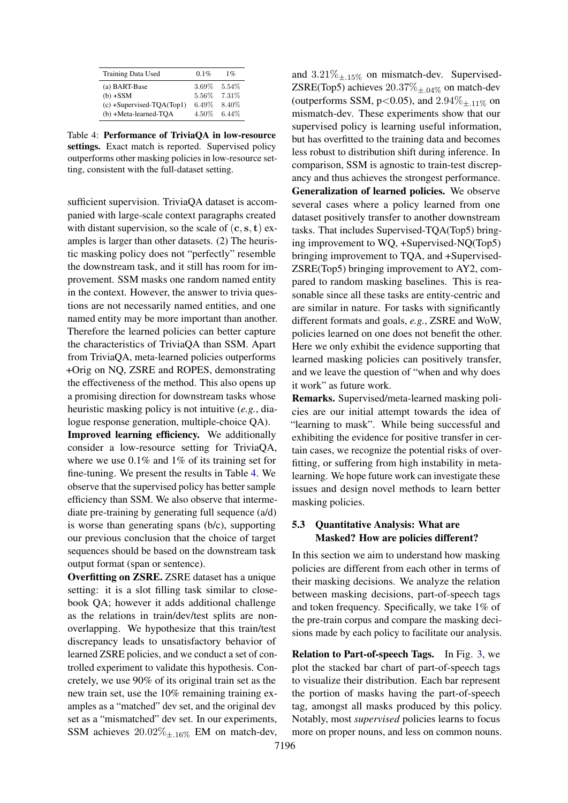<span id="page-6-1"></span>

| Training Data Used           | 0.1%     | $1\%$  |
|------------------------------|----------|--------|
| (a) BART-Base                | 3.69%    | 5.54%  |
| $(b) + SSM$                  | 5.56%    | 7.31%  |
| $(c) +$ Supervised-TQA(Top1) | $6.49\%$ | 8.40%  |
| (b) +Meta-learned-TOA        | 4.50%    | 6.44\% |

Table 4: Performance of TriviaQA in low-resource settings. Exact match is reported. Supervised policy outperforms other masking policies in low-resource setting, consistent with the full-dataset setting.

sufficient supervision. TriviaQA dataset is accompanied with large-scale context paragraphs created with distant supervision, so the scale of  $(c, s, t)$  examples is larger than other datasets. (2) The heuristic masking policy does not "perfectly" resemble the downstream task, and it still has room for improvement. SSM masks one random named entity in the context. However, the answer to trivia questions are not necessarily named entities, and one named entity may be more important than another. Therefore the learned policies can better capture the characteristics of TriviaQA than SSM. Apart from TriviaQA, meta-learned policies outperforms +Orig on NQ, ZSRE and ROPES, demonstrating the effectiveness of the method. This also opens up a promising direction for downstream tasks whose heuristic masking policy is not intuitive (*e.g.*, dialogue response generation, multiple-choice QA).

Improved learning efficiency. We additionally consider a low-resource setting for TriviaQA, where we use 0.1% and 1% of its training set for fine-tuning. We present the results in Table [4.](#page-6-1) We observe that the supervised policy has better sample efficiency than SSM. We also observe that intermediate pre-training by generating full sequence (a/d) is worse than generating spans (b/c), supporting our previous conclusion that the choice of target sequences should be based on the downstream task output format (span or sentence).

Overfitting on ZSRE. ZSRE dataset has a unique setting: it is a slot filling task similar to closebook QA; however it adds additional challenge as the relations in train/dev/test splits are nonoverlapping. We hypothesize that this train/test discrepancy leads to unsatisfactory behavior of learned ZSRE policies, and we conduct a set of controlled experiment to validate this hypothesis. Concretely, we use 90% of its original train set as the new train set, use the 10% remaining training examples as a "matched" dev set, and the original dev set as a "mismatched" dev set. In our experiments, SSM achieves  $20.02\%_{\pm{16\%}}$  EM on match-dev,

and  $3.21\%_{\pm.15\%}$  on mismatch-dev. Supervised-ZSRE(Top5) achieves  $20.37\%_{\pm.04\%}$  on match-dev (outperforms SSM,  $p<0.05$ ), and  $2.94\%$ <sub>+11%</sub> on mismatch-dev. These experiments show that our supervised policy is learning useful information, but has overfitted to the training data and becomes less robust to distribution shift during inference. In comparison, SSM is agnostic to train-test discrepancy and thus achieves the strongest performance. Generalization of learned policies. We observe several cases where a policy learned from one dataset positively transfer to another downstream tasks. That includes Supervised-TQA(Top5) bringing improvement to WQ, +Supervised-NQ(Top5) bringing improvement to TQA, and +Supervised-ZSRE(Top5) bringing improvement to AY2, compared to random masking baselines. This is reasonable since all these tasks are entity-centric and are similar in nature. For tasks with significantly different formats and goals, *e.g.*, ZSRE and WoW, policies learned on one does not benefit the other. Here we only exhibit the evidence supporting that learned masking policies can positively transfer, and we leave the question of "when and why does it work" as future work.

Remarks. Supervised/meta-learned masking policies are our initial attempt towards the idea of "learning to mask". While being successful and exhibiting the evidence for positive transfer in certain cases, we recognize the potential risks of overfitting, or suffering from high instability in metalearning. We hope future work can investigate these issues and design novel methods to learn better masking policies.

## <span id="page-6-0"></span>5.3 Quantitative Analysis: What are Masked? How are policies different?

In this section we aim to understand how masking policies are different from each other in terms of their masking decisions. We analyze the relation between masking decisions, part-of-speech tags and token frequency. Specifically, we take 1% of the pre-train corpus and compare the masking decisions made by each policy to facilitate our analysis.

Relation to Part-of-speech Tags. In Fig. [3,](#page-7-0) we plot the stacked bar chart of part-of-speech tags to visualize their distribution. Each bar represent the portion of masks having the part-of-speech tag, amongst all masks produced by this policy. Notably, most *supervised* policies learns to focus more on proper nouns, and less on common nouns.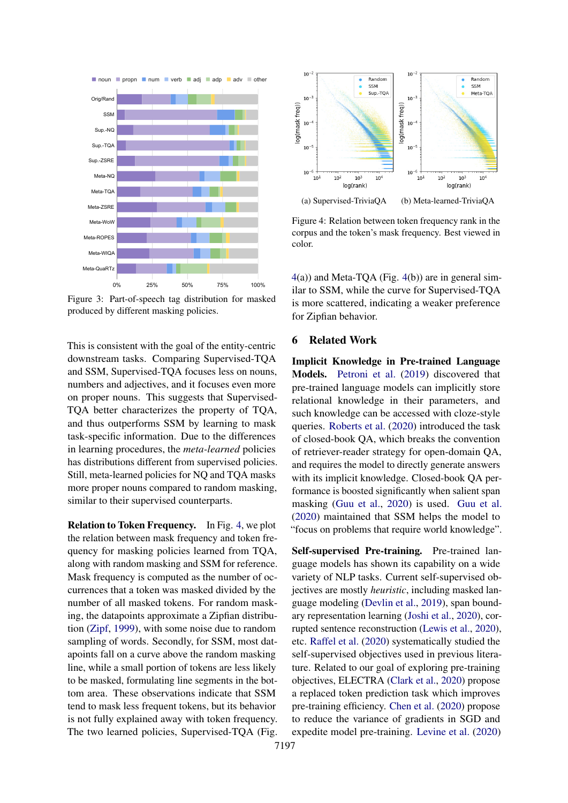<span id="page-7-0"></span>

Figure 3: Part-of-speech tag distribution for masked produced by different masking policies.

This is consistent with the goal of the entity-centric downstream tasks. Comparing Supervised-TQA and SSM, Supervised-TQA focuses less on nouns, numbers and adjectives, and it focuses even more on proper nouns. This suggests that Supervised-TQA better characterizes the property of TQA, and thus outperforms SSM by learning to mask task-specific information. Due to the differences in learning procedures, the *meta-learned* policies has distributions different from supervised policies. Still, meta-learned policies for NQ and TQA masks more proper nouns compared to random masking, similar to their supervised counterparts.

Relation to Token Frequency. In Fig. [4,](#page-7-1) we plot the relation between mask frequency and token frequency for masking policies learned from TQA, along with random masking and SSM for reference. Mask frequency is computed as the number of occurrences that a token was masked divided by the number of all masked tokens. For random masking, the datapoints approximate a Zipfian distribution [\(Zipf,](#page-10-11) [1999\)](#page-10-11), with some noise due to random sampling of words. Secondly, for SSM, most datapoints fall on a curve above the random masking line, while a small portion of tokens are less likely to be masked, formulating line segments in the bottom area. These observations indicate that SSM tend to mask less frequent tokens, but its behavior is not fully explained away with token frequency. The two learned policies, Supervised-TQA (Fig.

<span id="page-7-1"></span>

Figure 4: Relation between token frequency rank in the corpus and the token's mask frequency. Best viewed in color.

[4\(](#page-7-1)a)) and Meta-TQA (Fig. [4\(](#page-7-1)b)) are in general similar to SSM, while the curve for Supervised-TQA is more scattered, indicating a weaker preference for Zipfian behavior.

## 6 Related Work

Implicit Knowledge in Pre-trained Language Models. [Petroni et al.](#page-10-2) [\(2019\)](#page-10-2) discovered that pre-trained language models can implicitly store relational knowledge in their parameters, and such knowledge can be accessed with cloze-style queries. [Roberts et al.](#page-10-1) [\(2020\)](#page-10-1) introduced the task of closed-book QA, which breaks the convention of retriever-reader strategy for open-domain QA, and requires the model to directly generate answers with its implicit knowledge. Closed-book QA performance is boosted significantly when salient span masking [\(Guu et al.,](#page-9-0) [2020\)](#page-9-0) is used. [Guu et al.](#page-9-0) [\(2020\)](#page-9-0) maintained that SSM helps the model to "focus on problems that require world knowledge".

Self-supervised Pre-training. Pre-trained language models has shown its capability on a wide variety of NLP tasks. Current self-supervised objectives are mostly *heuristic*, including masked language modeling [\(Devlin et al.,](#page-8-0) [2019\)](#page-8-0), span boundary representation learning [\(Joshi et al.,](#page-9-14) [2020\)](#page-9-14), corrupted sentence reconstruction [\(Lewis et al.,](#page-9-2) [2020\)](#page-9-2), etc. [Raffel et al.](#page-10-0) [\(2020\)](#page-10-0) systematically studied the self-supervised objectives used in previous literature. Related to our goal of exploring pre-training objectives, ELECTRA [\(Clark et al.,](#page-8-5) [2020\)](#page-8-5) propose a replaced token prediction task which improves pre-training efficiency. [Chen et al.](#page-8-6) [\(2020\)](#page-8-6) propose to reduce the variance of gradients in SGD and expedite model pre-training. [Levine et al.](#page-9-15) [\(2020\)](#page-9-15)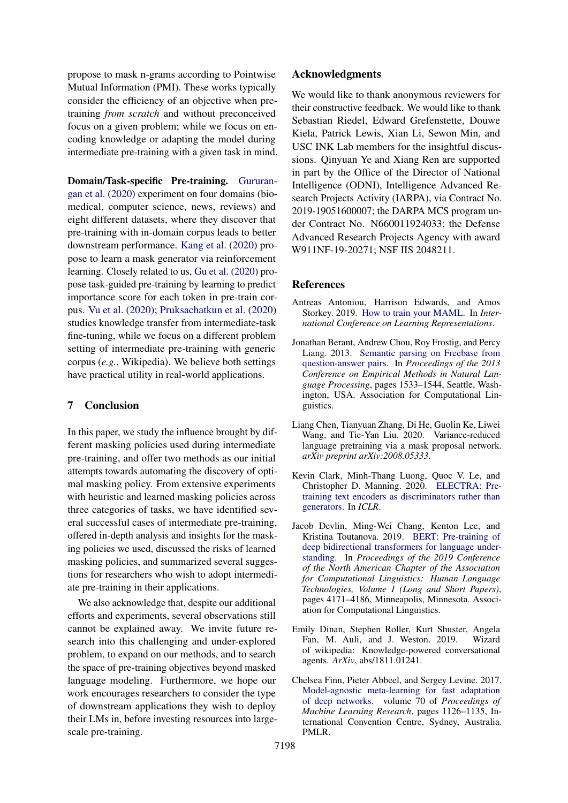propose to mask n-grams according to Pointwise Mutual Information (PMI). These works typically consider the efficiency of an objective when pretraining *from scratch* and without preconceived focus on a given problem; while we focus on encoding knowledge or adapting the model during intermediate pre-training with a given task in mind.

Domain/Task-specific Pre-training. [Gururan](#page-9-11)[gan et al.](#page-9-11) [\(2020\)](#page-9-11) experiment on four domains (biomedical, computer science, news, reviews) and eight different datasets, where they discover that pre-training with in-domain corpus leads to better downstream performance. [Kang et al.](#page-9-16) [\(2020\)](#page-9-16) propose to learn a mask generator via reinforcement learning. Closely related to us, [Gu et al.](#page-9-17) [\(2020\)](#page-9-17) propose task-guided pre-training by learning to predict importance score for each token in pre-train corpus. [Vu et al.](#page-10-12) [\(2020\)](#page-10-12); [Pruksachatkun et al.](#page-10-13) [\(2020\)](#page-10-13) studies knowledge transfer from intermediate-task fine-tuning, while we focus on a different problem setting of intermediate pre-training with generic corpus (*e.g.*, Wikipedia). We believe both settings have practical utility in real-world applications.

## 7 Conclusion

In this paper, we study the influence brought by different masking policies used during intermediate pre-training, and offer two methods as our initial attempts towards automating the discovery of optimal masking policy. From extensive experiments with heuristic and learned masking policies across three categories of tasks, we have identified several successful cases of intermediate pre-training, offered in-depth analysis and insights for the masking policies we used, discussed the risks of learned masking policies, and summarized several suggestions for researchers who wish to adopt intermediate pre-training in their applications.

We also acknowledge that, despite our additional efforts and experiments, several observations still cannot be explained away. We invite future research into this challenging and under-explored problem, to expand on our methods, and to search the space of pre-training objectives beyond masked language modeling. Furthermore, we hope our work encourages researchers to consider the type of downstream applications they wish to deploy their LMs in, before investing resources into largescale pre-training.

## Acknowledgments

We would like to thank anonymous reviewers for their constructive feedback. We would like to thank Sebastian Riedel, Edward Grefenstette, Douwe Kiela, Patrick Lewis, Xian Li, Sewon Min, and USC INK Lab members for the insightful discussions. Qinyuan Ye and Xiang Ren are supported in part by the Office of the Director of National Intelligence (ODNI), Intelligence Advanced Research Projects Activity (IARPA), via Contract No. 2019-19051600007; the DARPA MCS program under Contract No. N660011924033; the Defense Advanced Research Projects Agency with award W911NF-19-20271; NSF IIS 2048211.

### **References**

- <span id="page-8-4"></span>Antreas Antoniou, Harrison Edwards, and Amos Storkey. 2019. [How to train your MAML.](https://openreview.net/forum?id=HJGven05Y7) In *International Conference on Learning Representations*.
- <span id="page-8-1"></span>Jonathan Berant, Andrew Chou, Roy Frostig, and Percy Liang. 2013. [Semantic parsing on Freebase from](https://www.aclweb.org/anthology/D13-1160) [question-answer pairs.](https://www.aclweb.org/anthology/D13-1160) In *Proceedings of the 2013 Conference on Empirical Methods in Natural Language Processing*, pages 1533–1544, Seattle, Washington, USA. Association for Computational Linguistics.
- <span id="page-8-6"></span>Liang Chen, Tianyuan Zhang, Di He, Guolin Ke, Liwei Wang, and Tie-Yan Liu. 2020. Variance-reduced language pretraining via a mask proposal network. *arXiv preprint arXiv:2008.05333*.
- <span id="page-8-5"></span>Kevin Clark, Minh-Thang Luong, Quoc V. Le, and Christopher D. Manning. 2020. [ELECTRA: Pre](https://openreview.net/pdf?id=r1xMH1BtvB)[training text encoders as discriminators rather than](https://openreview.net/pdf?id=r1xMH1BtvB) [generators.](https://openreview.net/pdf?id=r1xMH1BtvB) In *ICLR*.
- <span id="page-8-0"></span>Jacob Devlin, Ming-Wei Chang, Kenton Lee, and Kristina Toutanova. 2019. [BERT: Pre-training of](https://doi.org/10.18653/v1/N19-1423) [deep bidirectional transformers for language under](https://doi.org/10.18653/v1/N19-1423)[standing.](https://doi.org/10.18653/v1/N19-1423) In *Proceedings of the 2019 Conference of the North American Chapter of the Association for Computational Linguistics: Human Language Technologies, Volume 1 (Long and Short Papers)*, pages 4171–4186, Minneapolis, Minnesota. Association for Computational Linguistics.
- <span id="page-8-2"></span>Emily Dinan, Stephen Roller, Kurt Shuster, Angela Fan, M. Auli, and J. Weston. 2019. Wizard of wikipedia: Knowledge-powered conversational agents. *ArXiv*, abs/1811.01241.
- <span id="page-8-3"></span>Chelsea Finn, Pieter Abbeel, and Sergey Levine. 2017. [Model-agnostic meta-learning for fast adaptation](http://proceedings.mlr.press/v70/finn17a.html) [of deep networks.](http://proceedings.mlr.press/v70/finn17a.html) volume 70 of *Proceedings of Machine Learning Research*, pages 1126–1135, International Convention Centre, Sydney, Australia. PMLR.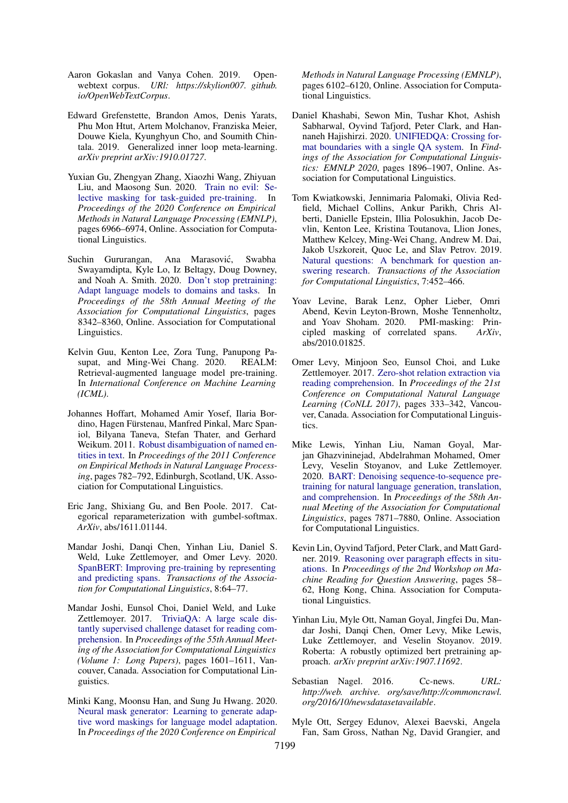- <span id="page-9-13"></span>Aaron Gokaslan and Vanya Cohen. 2019. Openwebtext corpus. *URl: https://skylion007. github. io/OpenWebTextCorpus*.
- <span id="page-9-8"></span>Edward Grefenstette, Brandon Amos, Denis Yarats, Phu Mon Htut, Artem Molchanov, Franziska Meier, Douwe Kiela, Kyunghyun Cho, and Soumith Chintala. 2019. Generalized inner loop meta-learning. *arXiv preprint arXiv:1910.01727*.
- <span id="page-9-17"></span>Yuxian Gu, Zhengyan Zhang, Xiaozhi Wang, Zhiyuan Liu, and Maosong Sun. 2020. [Train no evil: Se](https://doi.org/10.18653/v1/2020.emnlp-main.566)[lective masking for task-guided pre-training.](https://doi.org/10.18653/v1/2020.emnlp-main.566) In *Proceedings of the 2020 Conference on Empirical Methods in Natural Language Processing (EMNLP)*, pages 6966–6974, Online. Association for Computational Linguistics.
- <span id="page-9-11"></span>Suchin Gururangan, Ana Marasović, Swabha Swayamdipta, Kyle Lo, Iz Beltagy, Doug Downey, and Noah A. Smith. 2020. [Don't stop pretraining:](https://doi.org/10.18653/v1/2020.acl-main.740) [Adapt language models to domains and tasks.](https://doi.org/10.18653/v1/2020.acl-main.740) In *Proceedings of the 58th Annual Meeting of the Association for Computational Linguistics*, pages 8342–8360, Online. Association for Computational Linguistics.
- <span id="page-9-0"></span>Kelvin Guu, Kenton Lee, Zora Tung, Panupong Pasupat, and Ming-Wei Chang. 2020. REALM: Retrieval-augmented language model pre-training. In *International Conference on Machine Learning (ICML)*.
- <span id="page-9-4"></span>Johannes Hoffart, Mohamed Amir Yosef, Ilaria Bordino, Hagen Fürstenau, Manfred Pinkal, Marc Spaniol, Bilyana Taneva, Stefan Thater, and Gerhard Weikum. 2011. [Robust disambiguation of named en](https://www.aclweb.org/anthology/D11-1072)[tities in text.](https://www.aclweb.org/anthology/D11-1072) In *Proceedings of the 2011 Conference on Empirical Methods in Natural Language Processing*, pages 782–792, Edinburgh, Scotland, UK. Association for Computational Linguistics.
- <span id="page-9-10"></span>Eric Jang, Shixiang Gu, and Ben Poole. 2017. Categorical reparameterization with gumbel-softmax. *ArXiv*, abs/1611.01144.
- <span id="page-9-14"></span>Mandar Joshi, Danqi Chen, Yinhan Liu, Daniel S. Weld, Luke Zettlemoyer, and Omer Levy. 2020. [SpanBERT: Improving pre-training by representing](https://doi.org/10.1162/tacl_a_00300) [and predicting spans.](https://doi.org/10.1162/tacl_a_00300) *Transactions of the Association for Computational Linguistics*, 8:64–77.
- <span id="page-9-1"></span>Mandar Joshi, Eunsol Choi, Daniel Weld, and Luke Zettlemoyer. 2017. [TriviaQA: A large scale dis](https://doi.org/10.18653/v1/P17-1147)[tantly supervised challenge dataset for reading com](https://doi.org/10.18653/v1/P17-1147)[prehension.](https://doi.org/10.18653/v1/P17-1147) In *Proceedings of the 55th Annual Meeting of the Association for Computational Linguistics (Volume 1: Long Papers)*, pages 1601–1611, Vancouver, Canada. Association for Computational Linguistics.
- <span id="page-9-16"></span>Minki Kang, Moonsu Han, and Sung Ju Hwang. 2020. [Neural mask generator: Learning to generate adap](https://doi.org/10.18653/v1/2020.emnlp-main.493)[tive word maskings for language model adaptation.](https://doi.org/10.18653/v1/2020.emnlp-main.493) In *Proceedings of the 2020 Conference on Empirical*

*Methods in Natural Language Processing (EMNLP)*, pages 6102–6120, Online. Association for Computational Linguistics.

- <span id="page-9-7"></span>Daniel Khashabi, Sewon Min, Tushar Khot, Ashish Sabharwal, Oyvind Tafjord, Peter Clark, and Hannaneh Hajishirzi. 2020. [UNIFIEDQA: Crossing for](https://doi.org/10.18653/v1/2020.findings-emnlp.171)[mat boundaries with a single QA system.](https://doi.org/10.18653/v1/2020.findings-emnlp.171) In *Findings of the Association for Computational Linguistics: EMNLP 2020*, pages 1896–1907, Online. Association for Computational Linguistics.
- <span id="page-9-3"></span>Tom Kwiatkowski, Jennimaria Palomaki, Olivia Redfield, Michael Collins, Ankur Parikh, Chris Alberti, Danielle Epstein, Illia Polosukhin, Jacob Devlin, Kenton Lee, Kristina Toutanova, Llion Jones, Matthew Kelcey, Ming-Wei Chang, Andrew M. Dai, Jakob Uszkoreit, Quoc Le, and Slav Petrov. 2019. [Natural questions: A benchmark for question an](https://doi.org/10.1162/tacl_a_00276)[swering research.](https://doi.org/10.1162/tacl_a_00276) *Transactions of the Association for Computational Linguistics*, 7:452–466.
- <span id="page-9-15"></span>Yoav Levine, Barak Lenz, Opher Lieber, Omri Abend, Kevin Leyton-Brown, Moshe Tennenholtz, and Yoav Shoham. 2020. PMI-masking: Principled masking of correlated spans. *ArXiv*, abs/2010.01825.
- <span id="page-9-5"></span>Omer Levy, Minjoon Seo, Eunsol Choi, and Luke Zettlemoyer. 2017. [Zero-shot relation extraction via](https://doi.org/10.18653/v1/K17-1034) [reading comprehension.](https://doi.org/10.18653/v1/K17-1034) In *Proceedings of the 21st Conference on Computational Natural Language Learning (CoNLL 2017)*, pages 333–342, Vancouver, Canada. Association for Computational Linguistics.
- <span id="page-9-2"></span>Mike Lewis, Yinhan Liu, Naman Goyal, Marjan Ghazvininejad, Abdelrahman Mohamed, Omer Levy, Veselin Stoyanov, and Luke Zettlemoyer. 2020. [BART: Denoising sequence-to-sequence pre](https://doi.org/10.18653/v1/2020.acl-main.703)[training for natural language generation, translation,](https://doi.org/10.18653/v1/2020.acl-main.703) [and comprehension.](https://doi.org/10.18653/v1/2020.acl-main.703) In *Proceedings of the 58th Annual Meeting of the Association for Computational Linguistics*, pages 7871–7880, Online. Association for Computational Linguistics.
- <span id="page-9-6"></span>Kevin Lin, Oyvind Tafjord, Peter Clark, and Matt Gardner. 2019. [Reasoning over paragraph effects in situ](https://doi.org/10.18653/v1/D19-5808)[ations.](https://doi.org/10.18653/v1/D19-5808) In *Proceedings of the 2nd Workshop on Machine Reading for Question Answering*, pages 58– 62, Hong Kong, China. Association for Computational Linguistics.
- <span id="page-9-9"></span>Yinhan Liu, Myle Ott, Naman Goyal, Jingfei Du, Mandar Joshi, Danqi Chen, Omer Levy, Mike Lewis, Luke Zettlemoyer, and Veselin Stoyanov. 2019. Roberta: A robustly optimized bert pretraining approach. *arXiv preprint arXiv:1907.11692*.
- <span id="page-9-12"></span>Sebastian Nagel. 2016. Cc-news. *URL: http://web. archive. org/save/http://commoncrawl. org/2016/10/newsdatasetavailable*.
- <span id="page-9-18"></span>Myle Ott, Sergey Edunov, Alexei Baevski, Angela Fan, Sam Gross, Nathan Ng, David Grangier, and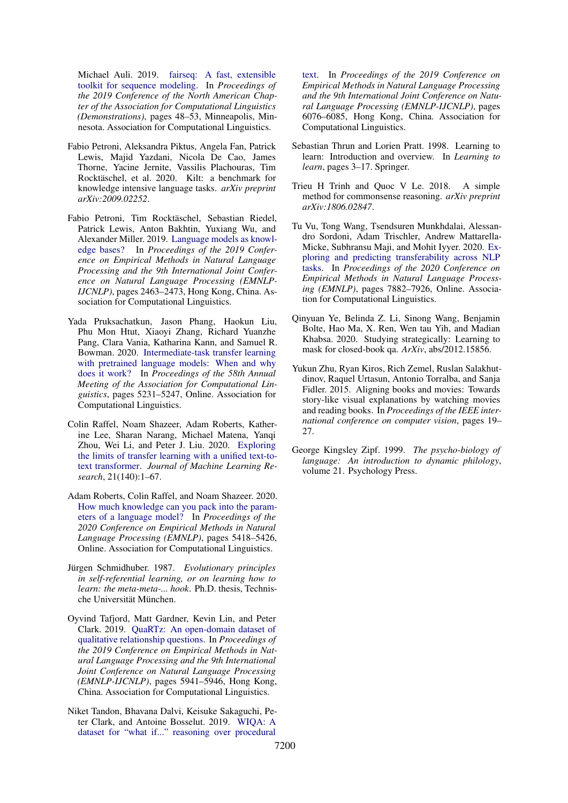Michael Auli. 2019. [fairseq: A fast, extensible](https://doi.org/10.18653/v1/N19-4009) [toolkit for sequence modeling.](https://doi.org/10.18653/v1/N19-4009) In *Proceedings of the 2019 Conference of the North American Chapter of the Association for Computational Linguistics (Demonstrations)*, pages 48–53, Minneapolis, Minnesota. Association for Computational Linguistics.

- <span id="page-10-3"></span>Fabio Petroni, Aleksandra Piktus, Angela Fan, Patrick Lewis, Majid Yazdani, Nicola De Cao, James Thorne, Yacine Jernite, Vassilis Plachouras, Tim Rocktäschel, et al. 2020. Kilt: a benchmark for knowledge intensive language tasks. *arXiv preprint arXiv:2009.02252*.
- <span id="page-10-2"></span>Fabio Petroni, Tim Rocktäschel, Sebastian Riedel, Patrick Lewis, Anton Bakhtin, Yuxiang Wu, and Alexander Miller. 2019. [Language models as knowl](https://doi.org/10.18653/v1/D19-1250)[edge bases?](https://doi.org/10.18653/v1/D19-1250) In *Proceedings of the 2019 Conference on Empirical Methods in Natural Language Processing and the 9th International Joint Conference on Natural Language Processing (EMNLP-IJCNLP)*, pages 2463–2473, Hong Kong, China. Association for Computational Linguistics.
- <span id="page-10-13"></span>Yada Pruksachatkun, Jason Phang, Haokun Liu, Phu Mon Htut, Xiaoyi Zhang, Richard Yuanzhe Pang, Clara Vania, Katharina Kann, and Samuel R. Bowman. 2020. [Intermediate-task transfer learning](https://doi.org/10.18653/v1/2020.acl-main.467) [with pretrained language models: When and why](https://doi.org/10.18653/v1/2020.acl-main.467) [does it work?](https://doi.org/10.18653/v1/2020.acl-main.467) In *Proceedings of the 58th Annual Meeting of the Association for Computational Linguistics*, pages 5231–5247, Online. Association for Computational Linguistics.
- <span id="page-10-0"></span>Colin Raffel, Noam Shazeer, Adam Roberts, Katherine Lee, Sharan Narang, Michael Matena, Yanqi Zhou, Wei Li, and Peter J. Liu. 2020. [Exploring](http://jmlr.org/papers/v21/20-074.html) [the limits of transfer learning with a unified text-to](http://jmlr.org/papers/v21/20-074.html)[text transformer.](http://jmlr.org/papers/v21/20-074.html) *Journal of Machine Learning Research*, 21(140):1–67.
- <span id="page-10-1"></span>Adam Roberts, Colin Raffel, and Noam Shazeer. 2020. [How much knowledge can you pack into the param](https://doi.org/10.18653/v1/2020.emnlp-main.437)[eters of a language model?](https://doi.org/10.18653/v1/2020.emnlp-main.437) In *Proceedings of the 2020 Conference on Empirical Methods in Natural Language Processing (EMNLP)*, pages 5418–5426, Online. Association for Computational Linguistics.
- <span id="page-10-7"></span>Jürgen Schmidhuber. 1987. Evolutionary principles *in self-referential learning, or on learning how to learn: the meta-meta-... hook*. Ph.D. thesis, Technische Universität München.
- <span id="page-10-5"></span>Oyvind Tafjord, Matt Gardner, Kevin Lin, and Peter Clark. 2019. [QuaRTz: An open-domain dataset of](https://doi.org/10.18653/v1/D19-1608) [qualitative relationship questions.](https://doi.org/10.18653/v1/D19-1608) In *Proceedings of the 2019 Conference on Empirical Methods in Natural Language Processing and the 9th International Joint Conference on Natural Language Processing (EMNLP-IJCNLP)*, pages 5941–5946, Hong Kong, China. Association for Computational Linguistics.
- <span id="page-10-4"></span>Niket Tandon, Bhavana Dalvi, Keisuke Sakaguchi, Peter Clark, and Antoine Bosselut. 2019. [WIQA: A](https://doi.org/10.18653/v1/D19-1629) [dataset for "what if..." reasoning over procedural](https://doi.org/10.18653/v1/D19-1629)

[text.](https://doi.org/10.18653/v1/D19-1629) In *Proceedings of the 2019 Conference on Empirical Methods in Natural Language Processing and the 9th International Joint Conference on Natural Language Processing (EMNLP-IJCNLP)*, pages 6076–6085, Hong Kong, China. Association for Computational Linguistics.

- <span id="page-10-8"></span>Sebastian Thrun and Lorien Pratt. 1998. Learning to learn: Introduction and overview. In *Learning to learn*, pages 3–17. Springer.
- <span id="page-10-10"></span>Trieu H Trinh and Quoc V Le. 2018. A simple method for commonsense reasoning. *arXiv preprint arXiv:1806.02847*.
- <span id="page-10-12"></span>Tu Vu, Tong Wang, Tsendsuren Munkhdalai, Alessandro Sordoni, Adam Trischler, Andrew Mattarella-Micke, Subhransu Maji, and Mohit Iyyer. 2020. [Ex](https://doi.org/10.18653/v1/2020.emnlp-main.635)[ploring and predicting transferability across NLP](https://doi.org/10.18653/v1/2020.emnlp-main.635) [tasks.](https://doi.org/10.18653/v1/2020.emnlp-main.635) In *Proceedings of the 2020 Conference on Empirical Methods in Natural Language Processing (EMNLP)*, pages 7882–7926, Online. Association for Computational Linguistics.
- <span id="page-10-6"></span>Qinyuan Ye, Belinda Z. Li, Sinong Wang, Benjamin Bolte, Hao Ma, X. Ren, Wen tau Yih, and Madian Khabsa. 2020. Studying strategically: Learning to mask for closed-book qa. *ArXiv*, abs/2012.15856.
- <span id="page-10-9"></span>Yukun Zhu, Ryan Kiros, Rich Zemel, Ruslan Salakhutdinov, Raquel Urtasun, Antonio Torralba, and Sanja Fidler. 2015. Aligning books and movies: Towards story-like visual explanations by watching movies and reading books. In *Proceedings of the IEEE international conference on computer vision*, pages 19– 27.
- <span id="page-10-11"></span>George Kingsley Zipf. 1999. *The psycho-biology of language: An introduction to dynamic philology*, volume 21. Psychology Press.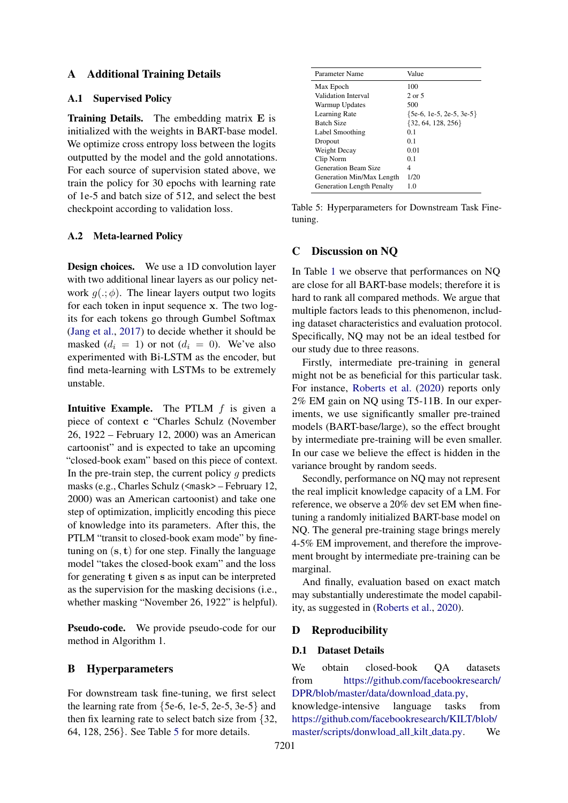## A Additional Training Details

## A.1 Supervised Policy

Training Details. The embedding matrix E is initialized with the weights in BART-base model. We optimize cross entropy loss between the logits outputted by the model and the gold annotations. For each source of supervision stated above, we train the policy for 30 epochs with learning rate of 1e-5 and batch size of 512, and select the best checkpoint according to validation loss.

## <span id="page-11-2"></span>A.2 Meta-learned Policy

Design choices. We use a 1D convolution layer with two additional linear layers as our policy network  $q(.,\phi)$ . The linear layers output two logits for each token in input sequence x. The two logits for each tokens go through Gumbel Softmax [\(Jang et al.,](#page-9-10) [2017\)](#page-9-10) to decide whether it should be masked  $(d_i = 1)$  or not  $(d_i = 0)$ . We've also experimented with Bi-LSTM as the encoder, but find meta-learning with LSTMs to be extremely unstable.

**Intuitive Example.** The PTLM  $f$  is given a piece of context c "Charles Schulz (November 26, 1922 – February 12, 2000) was an American cartoonist" and is expected to take an upcoming "closed-book exam" based on this piece of context. In the pre-train step, the current policy  $q$  predicts masks (e.g., Charles Schulz (<mask> – February 12, 2000) was an American cartoonist) and take one step of optimization, implicitly encoding this piece of knowledge into its parameters. After this, the PTLM "transit to closed-book exam mode" by finetuning on  $(s, t)$  for one step. Finally the language model "takes the closed-book exam" and the loss for generating t given s as input can be interpreted as the supervision for the masking decisions (i.e., whether masking "November 26, 1922" is helpful).

Pseudo-code. We provide pseudo-code for our method in Algorithm 1.

## <span id="page-11-0"></span>B Hyperparameters

For downstream task fine-tuning, we first select the learning rate from  $\{5e-6, 1e-5, 2e-5, 3e-5\}$  and then fix learning rate to select batch size from {32, 64, 128, 256}. See Table [5](#page-11-3) for more details.

<span id="page-11-3"></span>

| Parameter Name                   | Value                      |
|----------------------------------|----------------------------|
| Max Epoch                        | 100                        |
| Validation Interval              | $2$ or $5$                 |
| Warmup Updates                   | 500                        |
| Learning Rate                    | ${5e-6, 1e-5, 2e-5, 3e-5}$ |
| <b>Batch Size</b>                | $\{32, 64, 128, 256\}$     |
| Label Smoothing                  | 01                         |
| Dropout                          | 0 <sub>1</sub>             |
| Weight Decay                     | 0.01                       |
| Clip Norm                        | 0 <sub>1</sub>             |
| <b>Generation Beam Size</b>      | 4                          |
| Generation Min/Max Length        | 1/20                       |
| <b>Generation Length Penalty</b> | 1.0                        |

Table 5: Hyperparameters for Downstream Task Finetuning.

## C Discussion on NQ

In Table [1](#page-5-0) we observe that performances on NQ are close for all BART-base models; therefore it is hard to rank all compared methods. We argue that multiple factors leads to this phenomenon, including dataset characteristics and evaluation protocol. Specifically, NQ may not be an ideal testbed for our study due to three reasons.

Firstly, intermediate pre-training in general might not be as beneficial for this particular task. For instance, [Roberts et al.](#page-10-1) [\(2020\)](#page-10-1) reports only 2% EM gain on NQ using T5-11B. In our experiments, we use significantly smaller pre-trained models (BART-base/large), so the effect brought by intermediate pre-training will be even smaller. In our case we believe the effect is hidden in the variance brought by random seeds.

Secondly, performance on NQ may not represent the real implicit knowledge capacity of a LM. For reference, we observe a 20% dev set EM when finetuning a randomly initialized BART-base model on NQ. The general pre-training stage brings merely 4-5% EM improvement, and therefore the improvement brought by intermediate pre-training can be marginal.

And finally, evaluation based on exact match may substantially underestimate the model capability, as suggested in [\(Roberts et al.,](#page-10-1) [2020\)](#page-10-1).

### D Reproducibility

### <span id="page-11-1"></span>D.1 Dataset Details

We obtain closed-book QA datasets from [https://github.com/facebookresearch/](https://github.com/facebookresearch/DPR/blob/master/data/download_data.py) [DPR/blob/master/data/download](https://github.com/facebookresearch/DPR/blob/master/data/download_data.py) data.py,

knowledge-intensive language tasks from [https://github.com/facebookresearch/KILT/blob/](https://github.com/facebookresearch/KILT/blob/master/scripts/donwload_all_kilt_data.py) [master/scripts/donwload](https://github.com/facebookresearch/KILT/blob/master/scripts/donwload_all_kilt_data.py) all kilt data.py. We